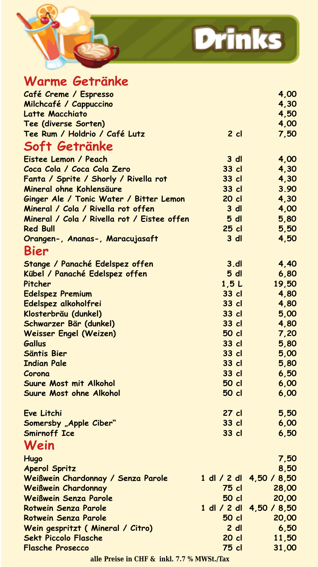



| Warme Getränke                              |                 |                |                         |
|---------------------------------------------|-----------------|----------------|-------------------------|
| Café Creme / Espresso                       |                 |                | 4,00                    |
| Milchcafé / Cappuccino                      |                 |                | 4,30                    |
| Latte Macchiato                             |                 |                | 4,50                    |
| Tee (diverse Sorten)                        |                 |                | 4,00                    |
| Tee Rum / Holdrio / Café Lutz               |                 | $2$ cl         | 7,50                    |
| Soft Getränke                               |                 |                |                         |
| Eistee Lemon / Peach                        |                 | 3 d            | 4,00                    |
| Coca Cola / Coca Cola Zero                  |                 | 33 cl          | 4,30                    |
| Fanta / Sprite / Shorly / Rivella rot       |                 | 33 cl          | 4,30                    |
| Mineral ohne Kohlensäure                    |                 | $33$ cl        | 3.90                    |
| Ginger Ale / Tonic Water / Bitter Lemon     |                 | 20 cl          | 4,30                    |
| Mineral / Cola / Rivella rot offen          |                 | 3 dl           | 4,00                    |
| Mineral / Cola / Rivella rot / Eistee offen |                 | 5 <sub>d</sub> | 5,80                    |
| <b>Red Bull</b>                             |                 | $25$ cl        | 5,50                    |
| Orangen-, Ananas-, Maracujasaft             |                 | $3$ dl         | 4,50                    |
| Bier                                        |                 |                |                         |
| Stange / Panaché Edelspez offen             |                 | 3.dI           | 4,40                    |
| Kübel / Panaché Edelspez offen              |                 | 5 <sub>d</sub> | 6,80                    |
| Pitcher                                     |                 | 1,5L           | 19,50                   |
| <b>Edelspez Premium</b>                     |                 | 33 cl          | 4,80                    |
| Edelspez alkoholfrei                        |                 | 33 cl          | 4,80                    |
| Klosterbräu (dunkel)                        |                 | 33 cl          | 5,00                    |
| Schwarzer Bär (dunkel)                      |                 | 33 cl          | 4,80                    |
| Weisser Engel (Weizen)                      |                 | 50 cl          | 7,20                    |
| <b>Gallus</b>                               |                 | 33 cl          | 5,80                    |
| Säntis Bier                                 |                 | 33 cl          | 5,00                    |
| <b>Indian Pale</b>                          |                 | 33 cl          | 5,80                    |
| Corona                                      |                 | 33 cl          | 6,50                    |
| Suure Most mit Alkohol                      |                 | 50 cl          | 6,00                    |
| Suure Most ohne Alkohol                     |                 | 50 cl          | 6,00                    |
| Eve Litchi                                  |                 | 27 cl          | 5,50                    |
| Somersby "Apple Ciber"                      |                 | 33 cl          | 6,00                    |
| <b>Smirnoff Ice</b>                         |                 | 33 cl          | 6,50                    |
| Wein                                        |                 |                |                         |
| Hugo                                        |                 |                | 7,50                    |
| <b>Aperol Spritz</b>                        |                 |                | 8,50                    |
| Weißwein Chardonnay / Senza Parole          |                 |                | 1 dl / 2 dl 4,50 / 8,50 |
| <b>Weißwein Chardonnay</b>                  |                 | 75 cl          | 28,00                   |
| Weißwein Senza Parole                       |                 | 50 cl          | 20,00                   |
| <b>Rotwein Senza Parole</b>                 | $1$ dl $/$ 2 dl |                | 4,50 / 8,50             |
| Rotwein Senza Parole                        |                 | 50 cl          | 20,00                   |
| Wein gespritzt ( Mineral / Citro)           |                 | $2$ dl         | 6,50                    |
| <b>Sekt Piccolo Flasche</b>                 |                 | 20 cl          | 11,50                   |
| <b>Flasche Prosecco</b>                     |                 | 75 cl          | 31,00                   |

**alle Preise in CHF & inkl. 7.7 % MWSt./Tax**